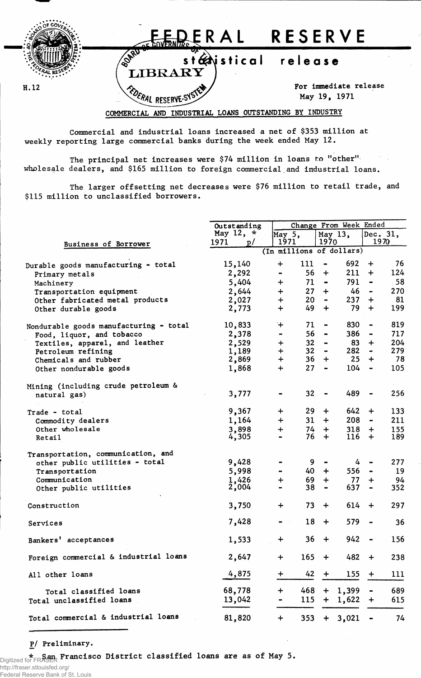

Commercial and industrial loans increased a net of \$353 million at weekly reporting large commercial banks during the week ended May 12.

The principal net increases were \$74 million in loans to "other" wholesale dealers, and \$165 million to foreign commercial and industrial loans.

The larger offsetting net decreases were \$76 million to retail trade, and \$115 million to unclassified borrowers.

|                                        | Outstanding | Change From Week Ended       |                                    |                |                              |          |  |  |
|----------------------------------------|-------------|------------------------------|------------------------------------|----------------|------------------------------|----------|--|--|
|                                        | May 12, $*$ | May 5,                       |                                    | May 13,        |                              | Dec. 31, |  |  |
| Business of Borrower                   | 1971<br>p/  | 1971                         | 1970                               |                |                              | 1970     |  |  |
|                                        |             | (In millions of dollars)     |                                    |                |                              |          |  |  |
| Durable goods manufacturing - total    | 15,140      | 111<br>$\div$                | $\blacksquare$                     | 692            | $\div$                       | 76       |  |  |
| Primary metals                         | 2,292       | $\qquad \qquad \blacksquare$ | 56<br>$\ddot{}$                    | 211            | $\div$                       | 124      |  |  |
| Machinery                              | 5,404       | $\ddot{}$                    | $71 -$                             | 791            | $\blacksquare$               | 58       |  |  |
| Transportation equipment               | 2,644       | $\ddot{}$                    | $27 +$                             | 46             | $\blacksquare$               | 270      |  |  |
| Other fabricated metal products        | 2,027       | $\ddot{}$                    | $20 -$                             | 237            | $\div$                       | 81       |  |  |
|                                        |             | $\ddot{+}$                   | 49<br>$\div$                       | 79             | $\div$                       | 199      |  |  |
| Other durable goods                    | 2,773       |                              |                                    |                |                              |          |  |  |
| Nondurable goods manufacturing - total | 10,833      | $+$                          | 71<br>$\qquad \qquad \blacksquare$ | 830            |                              | 819      |  |  |
| Food, liquor, and tobacco              | 2,378       | $\qquad \qquad \blacksquare$ | 56<br>$\blacksquare$               | 386            |                              | 717      |  |  |
| Textiles, apparel, and leather         | 2,529       | $+$                          | 32 <sub>2</sub><br>$\blacksquare$  | 83             | $+$                          | 204      |  |  |
| Petroleum refining                     | 1,189       | $\ddot{}$                    | $32 -$                             | 282            | $\blacksquare$               | 279      |  |  |
| Chemicals and rubber                   | 2,869       | $\ddot{}$                    | $36 +$                             | 25             | $\div$                       | 78       |  |  |
| Other nondurable goods                 | 1,868       | $\ddot{}$                    | 27<br>$\blacksquare$               | 104            | $\blacksquare$               | 105      |  |  |
|                                        |             |                              |                                    |                |                              |          |  |  |
| Mining (including crude petroleum &    |             |                              |                                    |                |                              |          |  |  |
| natural gas)                           | 3,777       |                              | 32<br>$\qquad \qquad \blacksquare$ | 489            | $\blacksquare$               | 256      |  |  |
|                                        | 9,367       | $\div$                       | 29<br>$\pm$                        | 642            | $\ddot{}$                    | 133      |  |  |
| Trade - total                          |             | $\ddot{}$                    | 31<br>$+$                          | 208            | $\blacksquare$               | 211      |  |  |
| Commodity dealers                      | 1,164       |                              |                                    |                |                              |          |  |  |
| Other wholesale                        | 3,898       | $\div$                       | 74<br>$+$                          | 318            | $+$                          | 155      |  |  |
| Retail                                 | 4,305       |                              | 76<br>$+$                          | 116            | $+$                          | 189      |  |  |
| Transportation, communication, and     |             |                              |                                    |                |                              |          |  |  |
| other public utilities - total         | 9,428       |                              | 9                                  | 4 <sup>1</sup> |                              | 277      |  |  |
| Transportation                         | 5,998       |                              | 40  <br>$+$                        | 556            | $\blacksquare$               | 19       |  |  |
| Communication                          | 1,426       | $\ddot{}$                    | 69<br>$\div$                       | 77             | $\div$                       | 94       |  |  |
| Other public utilities                 | 2,004       |                              | 38<br>$\qquad \qquad \blacksquare$ | 637            | $\qquad \qquad \blacksquare$ | 352      |  |  |
|                                        |             |                              |                                    |                |                              |          |  |  |
| Construction                           | 3,750       | $\div$                       | 73<br>$+$                          | 614            | $+$                          | 297      |  |  |
|                                        |             |                              |                                    |                |                              |          |  |  |
| Services                               | 7,428       |                              | 18<br>$\div$                       | 579            |                              | 36       |  |  |
| Bankers' acceptances                   | 1,533       | $\div$                       | 36<br>$\ddot{}$                    | 942            | $\bullet$ .                  | 156      |  |  |
|                                        |             |                              |                                    |                |                              |          |  |  |
| Foreign commercial & industrial loans  | 2,647       | $\ddot{}$                    | $165 +$                            | 482            | $+$                          | 238      |  |  |
|                                        |             |                              |                                    |                |                              |          |  |  |
| All other loans                        | 4,875       | +                            | $42 +$                             | $155 +$        |                              | 111      |  |  |
| Total classified loans                 | 68,778      | 468<br>$\div$                |                                    | $+ 1,399$      |                              | 689      |  |  |
| Total unclassified loans               | 13,042      |                              | $115 +$                            | 1,622          | $\ddot{}$                    | 615      |  |  |
|                                        |             |                              |                                    |                |                              |          |  |  |
| Total commercial & industrial loans    | 81,820      | $\div$                       | 353                                | 3,021<br>$+$   |                              | 74       |  |  |

## P/ Preliminary.

\* San Francisco District classified loans are as of May 5. Digitized for FRASER

http://fraser.stlouisfed.org/ Federal Reserve Bank of St. Louis